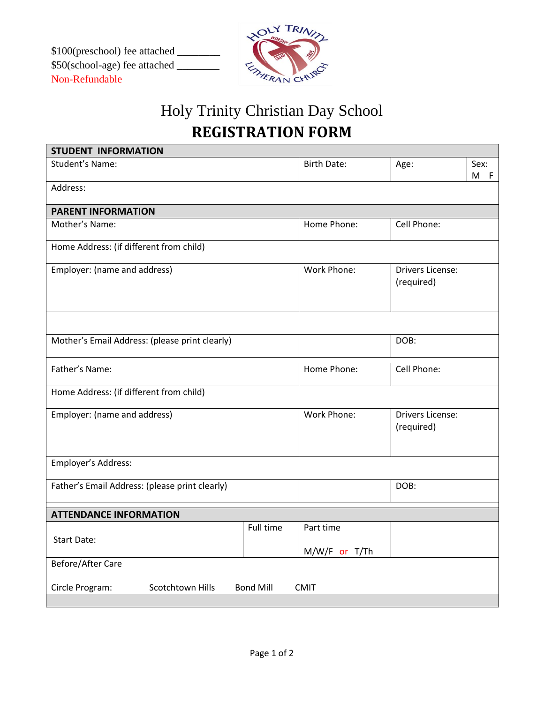\$100(preschool) fee attached \_\_\_\_\_\_\_\_ \$50(school-age) fee attached \_\_\_\_\_\_\_\_ Non-Refundable



## Holy Trinity Christian Day School **REGISTRATION FORM**

| <b>STUDENT INFORMATION</b>                                             |           |                    |                         |      |  |  |
|------------------------------------------------------------------------|-----------|--------------------|-------------------------|------|--|--|
| Student's Name:                                                        |           | <b>Birth Date:</b> | Age:                    | Sex: |  |  |
|                                                                        |           |                    |                         | M F  |  |  |
| Address:                                                               |           |                    |                         |      |  |  |
| <b>PARENT INFORMATION</b>                                              |           |                    |                         |      |  |  |
| Mother's Name:                                                         |           | Home Phone:        | Cell Phone:             |      |  |  |
|                                                                        |           |                    |                         |      |  |  |
| Home Address: (if different from child)                                |           |                    |                         |      |  |  |
| Employer: (name and address)                                           |           | Work Phone:        | <b>Drivers License:</b> |      |  |  |
|                                                                        |           |                    | (required)              |      |  |  |
|                                                                        |           |                    |                         |      |  |  |
|                                                                        |           |                    |                         |      |  |  |
| Mother's Email Address: (please print clearly)                         |           |                    | DOB:                    |      |  |  |
|                                                                        |           |                    |                         |      |  |  |
| Father's Name:                                                         |           | Home Phone:        | Cell Phone:             |      |  |  |
|                                                                        |           |                    |                         |      |  |  |
| Home Address: (if different from child)                                |           |                    |                         |      |  |  |
| Employer: (name and address)                                           |           | Work Phone:        | <b>Drivers License:</b> |      |  |  |
|                                                                        |           |                    | (required)              |      |  |  |
|                                                                        |           |                    |                         |      |  |  |
| Employer's Address:                                                    |           |                    |                         |      |  |  |
|                                                                        |           |                    |                         |      |  |  |
| Father's Email Address: (please print clearly)                         |           |                    | DOB:                    |      |  |  |
|                                                                        |           |                    |                         |      |  |  |
| <b>ATTENDANCE INFORMATION</b>                                          |           |                    |                         |      |  |  |
| <b>Start Date:</b>                                                     | Full time | Part time          |                         |      |  |  |
|                                                                        |           | M/W/F or T/Th      |                         |      |  |  |
| Before/After Care                                                      |           |                    |                         |      |  |  |
|                                                                        |           |                    |                         |      |  |  |
| Scotchtown Hills<br>Circle Program:<br><b>Bond Mill</b><br><b>CMIT</b> |           |                    |                         |      |  |  |
|                                                                        |           |                    |                         |      |  |  |